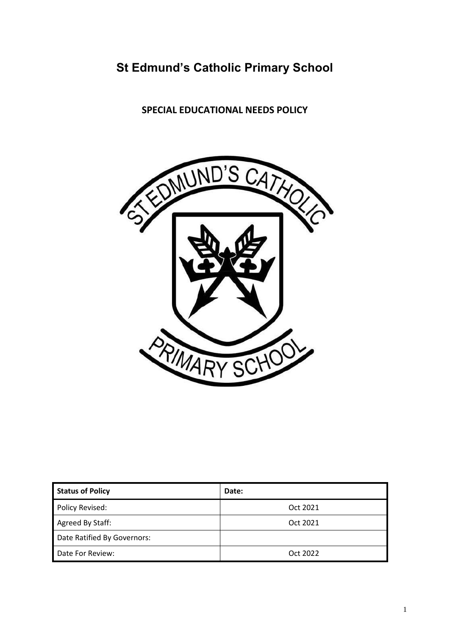# **St Edmund's Catholic Primary School**

**SPECIAL EDUCATIONAL NEEDS POLICY**



| <b>Status of Policy</b>     | Date:    |
|-----------------------------|----------|
| Policy Revised:             | Oct 2021 |
| Agreed By Staff:            | Oct 2021 |
| Date Ratified By Governors: |          |
| Date For Review:            | Oct 2022 |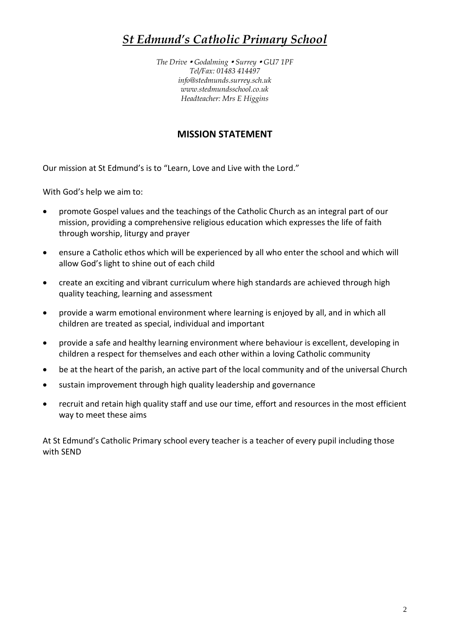# *St Edmund's Catholic Primary School*

*The Drive Godalming Surrey GU7 1PF Tel/Fax: 01483 414497 info@stedmunds.surrey.sch.uk www.stedmundsschool.co.uk Headteacher: Mrs E Higgins*

### **MISSION STATEMENT**

Our mission at St Edmund's is to "Learn, Love and Live with the Lord."

With God's help we aim to:

- promote Gospel values and the teachings of the Catholic Church as an integral part of our mission, providing a comprehensive religious education which expresses the life of faith through worship, liturgy and prayer
- ensure a Catholic ethos which will be experienced by all who enter the school and which will allow God's light to shine out of each child
- create an exciting and vibrant curriculum where high standards are achieved through high quality teaching, learning and assessment
- provide a warm emotional environment where learning is enjoyed by all, and in which all children are treated as special, individual and important
- provide a safe and healthy learning environment where behaviour is excellent, developing in children a respect for themselves and each other within a loving Catholic community
- be at the heart of the parish, an active part of the local community and of the universal Church
- sustain improvement through high quality leadership and governance
- recruit and retain high quality staff and use our time, effort and resources in the most efficient way to meet these aims

At St Edmund's Catholic Primary school every teacher is a teacher of every pupil including those with SEND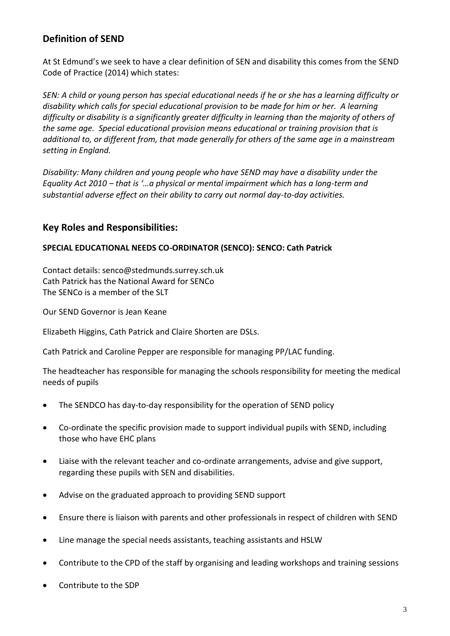# **Definition of SEND**

At St Edmund's we seek to have a clear definition of SEN and disability this comes from the SEND Code of Practice (2014) which states:

*SEN: A child or young person has special educational needs if he or she has a learning difficulty or disability which calls for special educational provision to be made for him or her. A learning difficulty or disability is a significantly greater difficulty in learning than the majority of others of the same age. Special educational provision means educational or training provision that is additional to, or different from, that made generally for others of the same age in a mainstream setting in England.*

*Disability: Many children and young people who have SEND may have a disability under the Equality Act 2010 – that is '…a physical or mental impairment which has a long-term and substantial adverse effect on their ability to carry out normal day-to-day activities.*

### **Key Roles and Responsibilities:**

#### **SPECIAL EDUCATIONAL NEEDS CO-ORDINATOR (SENCO): SENCO: Cath Patrick**

Contact details: senco@stedmunds.surrey.sch.uk Cath Patrick has the National Award for SENCo The SENCo is a member of the SLT

Our SEND Governor is Jean Keane

Elizabeth Higgins, Cath Patrick and Claire Shorten are DSLs.

Cath Patrick and Caroline Pepper are responsible for managing PP/LAC funding.

The headteacher has responsible for managing the schools responsibility for meeting the medical needs of pupils

- The SENDCO has day-to-day responsibility for the operation of SEND policy
- Co-ordinate the specific provision made to support individual pupils with SEND, including those who have EHC plans
- Liaise with the relevant teacher and co-ordinate arrangements, advise and give support, regarding these pupils with SEN and disabilities.
- Advise on the graduated approach to providing SEND support
- Ensure there is liaison with parents and other professionals in respect of children with SEND
- Line manage the special needs assistants, teaching assistants and HSLW
- Contribute to the CPD of the staff by organising and leading workshops and training sessions
- Contribute to the SDP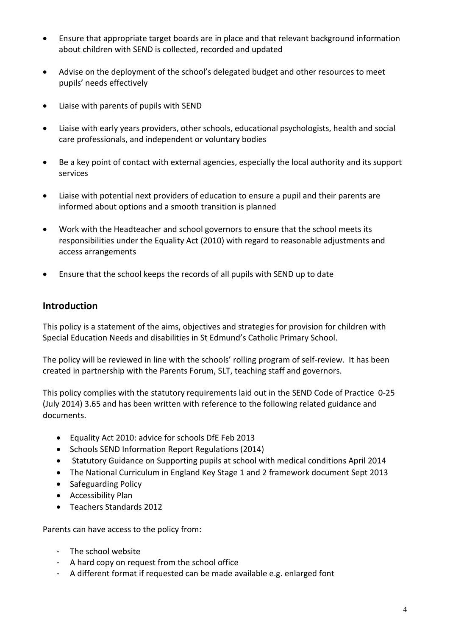- Ensure that appropriate target boards are in place and that relevant background information about children with SEND is collected, recorded and updated
- Advise on the deployment of the school's delegated budget and other resources to meet pupils' needs effectively
- Liaise with parents of pupils with SEND
- Liaise with early years providers, other schools, educational psychologists, health and social care professionals, and independent or voluntary bodies
- Be a key point of contact with external agencies, especially the local authority and its support services
- Liaise with potential next providers of education to ensure a pupil and their parents are informed about options and a smooth transition is planned
- Work with the Headteacher and school governors to ensure that the school meets its responsibilities under the Equality Act (2010) with regard to reasonable adjustments and access arrangements
- Ensure that the school keeps the records of all pupils with SEND up to date

### **Introduction**

This policy is a statement of the aims, objectives and strategies for provision for children with Special Education Needs and disabilities in St Edmund's Catholic Primary School.

The policy will be reviewed in line with the schools' rolling program of self-review. It has been created in partnership with the Parents Forum, SLT, teaching staff and governors.

This policy complies with the statutory requirements laid out in the SEND Code of Practice 0-25 (July 2014) 3.65 and has been written with reference to the following related guidance and documents.

- Equality Act 2010: advice for schools DfE Feb 2013
- Schools SEND Information Report Regulations (2014)
- Statutory Guidance on Supporting pupils at school with medical conditions April 2014
- The National Curriculum in England Key Stage 1 and 2 framework document Sept 2013
- Safeguarding Policy
- Accessibility Plan
- Teachers Standards 2012

Parents can have access to the policy from:

- The school website
- A hard copy on request from the school office
- A different format if requested can be made available e.g. enlarged font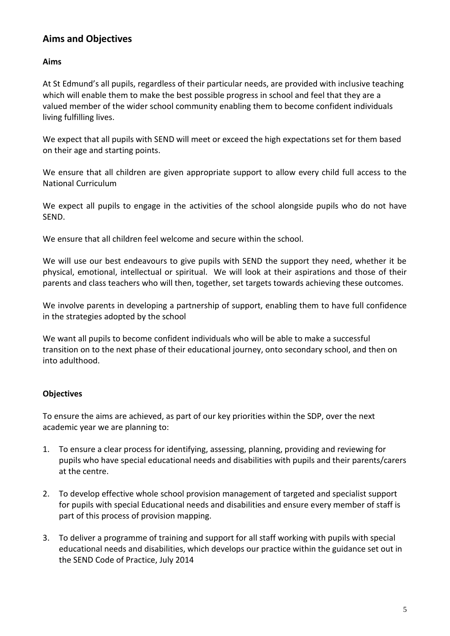# **Aims and Objectives**

#### **Aims**

At St Edmund's all pupils, regardless of their particular needs, are provided with inclusive teaching which will enable them to make the best possible progress in school and feel that they are a valued member of the wider school community enabling them to become confident individuals living fulfilling lives.

We expect that all pupils with SEND will meet or exceed the high expectations set for them based on their age and starting points.

We ensure that all children are given appropriate support to allow every child full access to the National Curriculum

We expect all pupils to engage in the activities of the school alongside pupils who do not have SEND.

We ensure that all children feel welcome and secure within the school.

We will use our best endeavours to give pupils with SEND the support they need, whether it be physical, emotional, intellectual or spiritual. We will look at their aspirations and those of their parents and class teachers who will then, together, set targets towards achieving these outcomes.

We involve parents in developing a partnership of support, enabling them to have full confidence in the strategies adopted by the school

We want all pupils to become confident individuals who will be able to make a successful transition on to the next phase of their educational journey, onto secondary school, and then on into adulthood.

#### **Objectives**

To ensure the aims are achieved, as part of our key priorities within the SDP, over the next academic year we are planning to:

- 1. To ensure a clear process for identifying, assessing, planning, providing and reviewing for pupils who have special educational needs and disabilities with pupils and their parents/carers at the centre.
- 2. To develop effective whole school provision management of targeted and specialist support for pupils with special Educational needs and disabilities and ensure every member of staff is part of this process of provision mapping.
- 3. To deliver a programme of training and support for all staff working with pupils with special educational needs and disabilities, which develops our practice within the guidance set out in the SEND Code of Practice, July 2014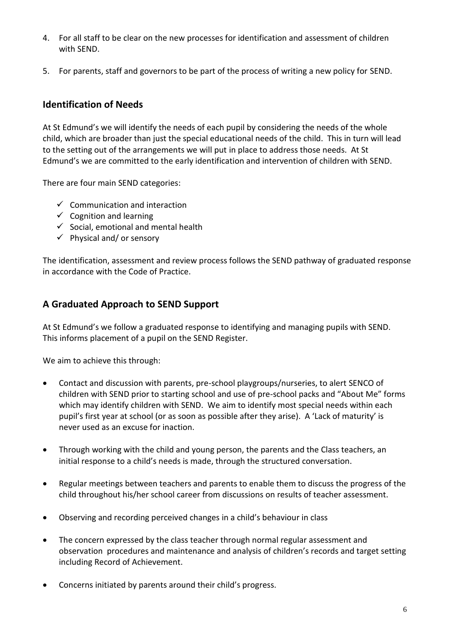- 4. For all staff to be clear on the new processes for identification and assessment of children with SEND.
- 5. For parents, staff and governors to be part of the process of writing a new policy for SEND.

## **Identification of Needs**

At St Edmund's we will identify the needs of each pupil by considering the needs of the whole child, which are broader than just the special educational needs of the child. This in turn will lead to the setting out of the arrangements we will put in place to address those needs. At St Edmund's we are committed to the early identification and intervention of children with SEND.

There are four main SEND categories:

- $\checkmark$  Communication and interaction
- $\checkmark$  Cognition and learning
- $\checkmark$  Social, emotional and mental health
- $\checkmark$  Physical and/ or sensory

The identification, assessment and review process follows the SEND pathway of graduated response in accordance with the Code of Practice.

## **A Graduated Approach to SEND Support**

At St Edmund's we follow a graduated response to identifying and managing pupils with SEND. This informs placement of a pupil on the SEND Register.

We aim to achieve this through:

- Contact and discussion with parents, pre-school playgroups/nurseries, to alert SENCO of children with SEND prior to starting school and use of pre-school packs and "About Me" forms which may identify children with SEND. We aim to identify most special needs within each pupil's first year at school (or as soon as possible after they arise). A 'Lack of maturity' is never used as an excuse for inaction.
- Through working with the child and young person, the parents and the Class teachers, an initial response to a child's needs is made, through the structured conversation.
- Regular meetings between teachers and parents to enable them to discuss the progress of the child throughout his/her school career from discussions on results of teacher assessment.
- Observing and recording perceived changes in a child's behaviour in class
- The concern expressed by the class teacher through normal regular assessment and observation procedures and maintenance and analysis of children's records and target setting including Record of Achievement.
- Concerns initiated by parents around their child's progress.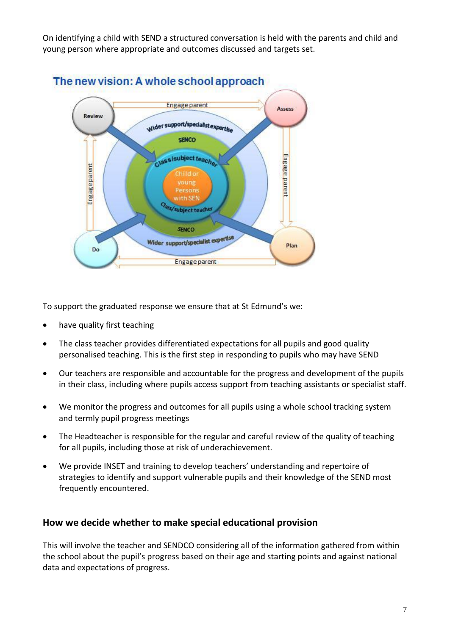On identifying a child with SEND a structured conversation is held with the parents and child and young person where appropriate and outcomes discussed and targets set.



To support the graduated response we ensure that at St Edmund's we:

- have quality first teaching
- The class teacher provides differentiated expectations for all pupils and good quality personalised teaching. This is the first step in responding to pupils who may have SEND
- Our teachers are responsible and accountable for the progress and development of the pupils in their class, including where pupils access support from teaching assistants or specialist staff.
- We monitor the progress and outcomes for all pupils using a whole school tracking system and termly pupil progress meetings
- The Headteacher is responsible for the regular and careful review of the quality of teaching for all pupils, including those at risk of underachievement.
- We provide INSET and training to develop teachers' understanding and repertoire of strategies to identify and support vulnerable pupils and their knowledge of the SEND most frequently encountered.

# **How we decide whether to make special educational provision**

This will involve the teacher and SENDCO considering all of the information gathered from within the school about the pupil's progress based on their age and starting points and against national data and expectations of progress.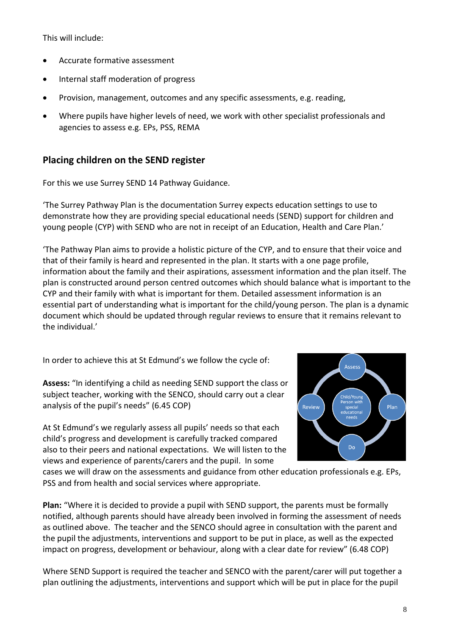This will include:

- Accurate formative assessment
- Internal staff moderation of progress
- Provision, management, outcomes and any specific assessments, e.g. reading,
- Where pupils have higher levels of need, we work with other specialist professionals and agencies to assess e.g. EPs, PSS, REMA

# **Placing children on the SEND register**

For this we use Surrey SEND 14 Pathway Guidance.

'The Surrey Pathway Plan is the documentation Surrey expects education settings to use to demonstrate how they are providing special educational needs (SEND) support for children and young people (CYP) with SEND who are not in receipt of an Education, Health and Care Plan.'

'The Pathway Plan aims to provide a holistic picture of the CYP, and to ensure that their voice and that of their family is heard and represented in the plan. It starts with a one page profile, information about the family and their aspirations, assessment information and the plan itself. The plan is constructed around person centred outcomes which should balance what is important to the CYP and their family with what is important for them. Detailed assessment information is an essential part of understanding what is important for the child/young person. The plan is a dynamic document which should be updated through regular reviews to ensure that it remains relevant to the individual.'

In order to achieve this at St Edmund's we follow the cycle of:

**Assess:** "In identifying a child as needing SEND support the class or subject teacher, working with the SENCO, should carry out a clear analysis of the pupil's needs" (6.45 COP)

At St Edmund's we regularly assess all pupils' needs so that each child's progress and development is carefully tracked compared also to their peers and national expectations. We will listen to the views and experience of parents/carers and the pupil. In some



cases we will draw on the assessments and guidance from other education professionals e.g. EPs, PSS and from health and social services where appropriate.

**Plan:** "Where it is decided to provide a pupil with SEND support, the parents must be formally notified, although parents should have already been involved in forming the assessment of needs as outlined above. The teacher and the SENCO should agree in consultation with the parent and the pupil the adjustments, interventions and support to be put in place, as well as the expected impact on progress, development or behaviour, along with a clear date for review" (6.48 COP)

Where SEND Support is required the teacher and SENCO with the parent/carer will put together a plan outlining the adjustments, interventions and support which will be put in place for the pupil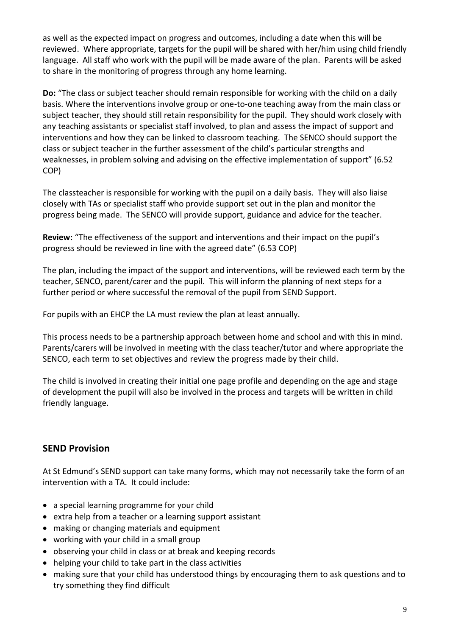as well as the expected impact on progress and outcomes, including a date when this will be reviewed. Where appropriate, targets for the pupil will be shared with her/him using child friendly language. All staff who work with the pupil will be made aware of the plan. Parents will be asked to share in the monitoring of progress through any home learning.

**Do:** "The class or subject teacher should remain responsible for working with the child on a daily basis. Where the interventions involve group or one-to-one teaching away from the main class or subject teacher, they should still retain responsibility for the pupil. They should work closely with any teaching assistants or specialist staff involved, to plan and assess the impact of support and interventions and how they can be linked to classroom teaching. The SENCO should support the class or subject teacher in the further assessment of the child's particular strengths and weaknesses, in problem solving and advising on the effective implementation of support" (6.52 COP)

The classteacher is responsible for working with the pupil on a daily basis. They will also liaise closely with TAs or specialist staff who provide support set out in the plan and monitor the progress being made. The SENCO will provide support, guidance and advice for the teacher.

**Review:** "The effectiveness of the support and interventions and their impact on the pupil's progress should be reviewed in line with the agreed date" (6.53 COP)

The plan, including the impact of the support and interventions, will be reviewed each term by the teacher, SENCO, parent/carer and the pupil. This will inform the planning of next steps for a further period or where successful the removal of the pupil from SEND Support.

For pupils with an EHCP the LA must review the plan at least annually.

This process needs to be a partnership approach between home and school and with this in mind. Parents/carers will be involved in meeting with the class teacher/tutor and where appropriate the SENCO, each term to set objectives and review the progress made by their child.

The child is involved in creating their initial one page profile and depending on the age and stage of development the pupil will also be involved in the process and targets will be written in child friendly language.

# **SEND Provision**

At St Edmund's SEND support can take many forms, which may not necessarily take the form of an intervention with a TA. It could include:

- a special learning programme for your child
- extra help from a teacher or a learning support assistant
- making or changing materials and equipment
- working with your child in a small group
- observing your child in class or at break and keeping records
- helping your child to take part in the class activities
- making sure that your child has understood things by encouraging them to ask questions and to try something they find difficult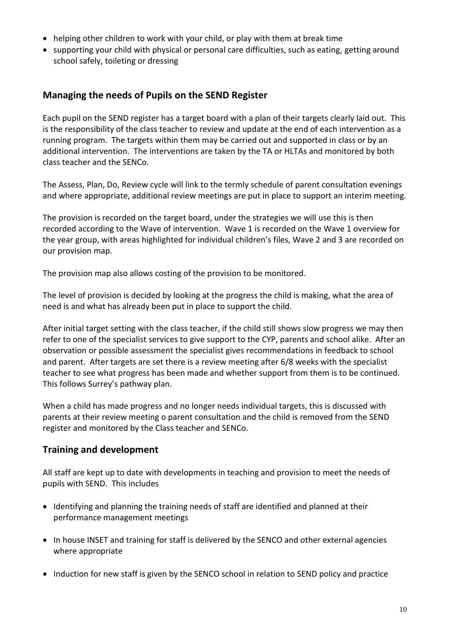- helping other children to work with your child, or play with them at break time
- supporting your child with physical or personal care difficulties, such as eating, getting around school safely, toileting or dressing

### **Managing the needs of Pupils on the SEND Register**

Each pupil on the SEND register has a target board with a plan of their targets clearly laid out. This is the responsibility of the class teacher to review and update at the end of each intervention as a running program. The targets within them may be carried out and supported in class or by an additional intervention. The interventions are taken by the TA or HLTAs and monitored by both class teacher and the SENCo.

The Assess, Plan, Do, Review cycle will link to the termly schedule of parent consultation evenings and where appropriate, additional review meetings are put in place to support an interim meeting.

The provision is recorded on the target board, under the strategies we will use this is then recorded according to the Wave of intervention. Wave 1 is recorded on the Wave 1 overview for the year group, with areas highlighted for individual children's files, Wave 2 and 3 are recorded on our provision map.

The provision map also allows costing of the provision to be monitored.

The level of provision is decided by looking at the progress the child is making, what the area of need is and what has already been put in place to support the child.

After initial target setting with the class teacher, if the child still shows slow progress we may then refer to one of the specialist services to give support to the CYP, parents and school alike. After an observation or possible assessment the specialist gives recommendations in feedback to school and parent. After targets are set there is a review meeting after 6/8 weeks with the specialist teacher to see what progress has been made and whether support from them is to be continued. This follows Surrey's pathway plan.

When a child has made progress and no longer needs individual targets, this is discussed with parents at their review meeting o parent consultation and the child is removed from the SEND register and monitored by the Class teacher and SENCo.

# **Training and development**

All staff are kept up to date with developments in teaching and provision to meet the needs of pupils with SEND. This includes

- Identifying and planning the training needs of staff are identified and planned at their performance management meetings
- In house INSET and training for staff is delivered by the SENCO and other external agencies where appropriate
- Induction for new staff is given by the SENCO school in relation to SEND policy and practice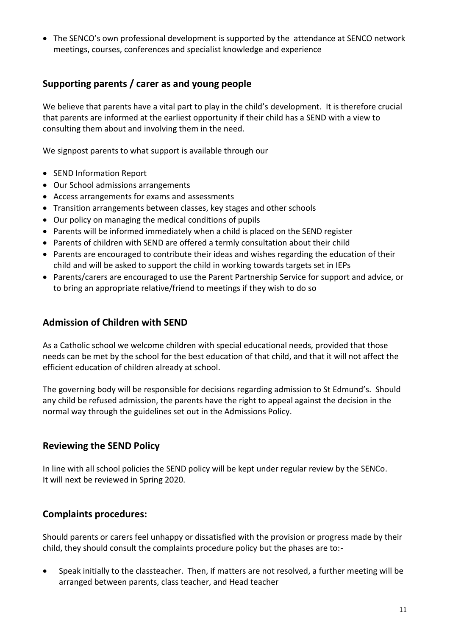The SENCO's own professional development is supported by the attendance at SENCO network meetings, courses, conferences and specialist knowledge and experience

## **Supporting parents / carer as and young people**

We believe that parents have a vital part to play in the child's development. It is therefore crucial that parents are informed at the earliest opportunity if their child has a SEND with a view to consulting them about and involving them in the need.

We signpost parents to what support is available through our

- SEND Information Report
- Our School admissions arrangements
- Access arrangements for exams and assessments
- Transition arrangements between classes, key stages and other schools
- Our policy on managing the medical conditions of pupils
- Parents will be informed immediately when a child is placed on the SEND register
- Parents of children with SEND are offered a termly consultation about their child
- Parents are encouraged to contribute their ideas and wishes regarding the education of their child and will be asked to support the child in working towards targets set in IEPs
- Parents/carers are encouraged to use the Parent Partnership Service for support and advice, or to bring an appropriate relative/friend to meetings if they wish to do so

#### **Admission of Children with SEND**

As a Catholic school we welcome children with special educational needs, provided that those needs can be met by the school for the best education of that child, and that it will not affect the efficient education of children already at school.

The governing body will be responsible for decisions regarding admission to St Edmund's. Should any child be refused admission, the parents have the right to appeal against the decision in the normal way through the guidelines set out in the Admissions Policy.

### **Reviewing the SEND Policy**

In line with all school policies the SEND policy will be kept under regular review by the SENCo. It will next be reviewed in Spring 2020.

#### **Complaints procedures:**

Should parents or carers feel unhappy or dissatisfied with the provision or progress made by their child, they should consult the complaints procedure policy but the phases are to:-

 Speak initially to the classteacher. Then, if matters are not resolved, a further meeting will be arranged between parents, class teacher, and Head teacher